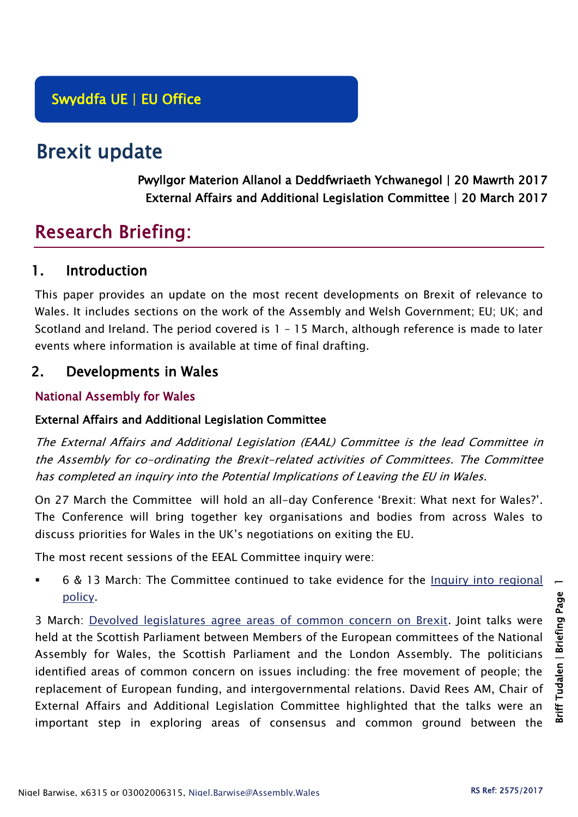# Brexit update

Pwyllgor Materion Allanol a Deddfwriaeth Ychwanegol | 20 Mawrth 2017 External Affairs and Additional Legislation Committee | 20 March 2017

# Research Briefing:

# 1. Introduction

This paper provides an update on the most recent developments on Brexit of relevance to Wales. It includes sections on the work of the Assembly and Welsh Government; EU; UK; and Scotland and Ireland. The period covered is 1 – 15 March, although reference is made to later events where information is available at time of final drafting.

# 2. Developments in Wales

## National Assembly for Wales

## External Affairs and Additional Legislation Committee

The External Affairs and Additional Legislation (EAAL) Committee is the lead Committee in the Assembly for co-ordinating the Brexit-related activities of Committees. The Committee has completed an inquiry into the Potential Implications of Leaving the EU in Wales.

On 27 March the Committee will hold an all-day Conference 'Brexit: What next for Wales?'. The Conference will bring together key organisations and bodies from across Wales to discuss priorities for Wales in the UK's negotiations on exiting the EU.

The most recent sessions of the EEAL Committee inquiry were:

 6 & 13 March: The Committee continued to take evidence for the [Inquiry into regional](http://senedd.assembly.wales/mgIssueHistoryHome.aspx?IId=17267)  [policy.](http://senedd.assembly.wales/mgIssueHistoryHome.aspx?IId=17267)

3 March: [Devolved legislatures agree areas of common concern on Brexit.](http://www.parliament.scot/newsandmediacentre/103803.aspx) Joint talks were held at the Scottish Parliament between Members of the European committees of the National Assembly for Wales, the Scottish Parliament and the London Assembly. The politicians identified areas of common concern on issues including: the free movement of people; the replacement of European funding, and intergovernmental relations. David Rees AM, Chair of External Affairs and Additional Legislation Committee highlighted that the talks were an important step in exploring areas of consensus and common ground between the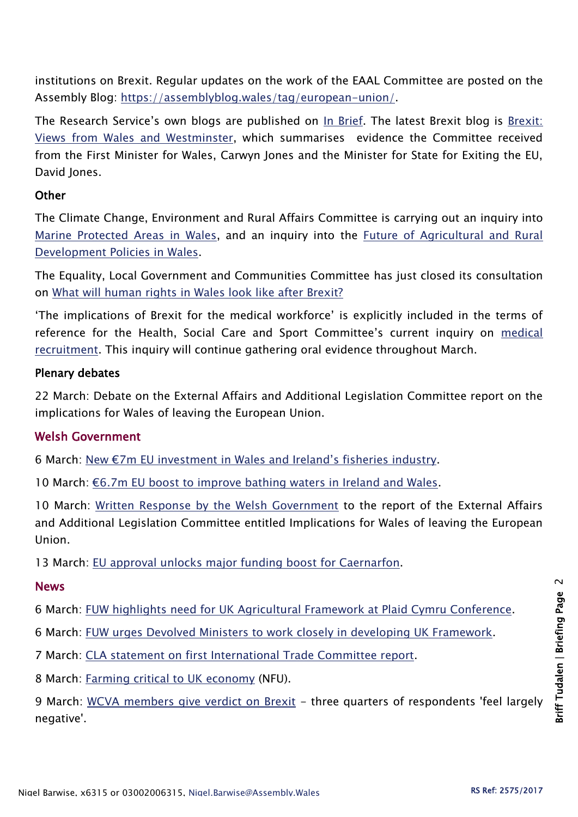institutions on Brexit. Regular updates on the work of the EAAL Committee are posted on the Assembly Blog: [https://assemblyblog.wales/tag/european-union/.](https://assemblyblog.wales/tag/european-union/)

The Research Service's own blogs are published on [In Brief.](https://assemblyinbrief.wordpress.com/) The latest Brexit blog is Brexit: [Views from Wales and Westminster,](https://assemblyinbrief.wordpress.com/2017/02/28/brexit-views-from-wales-and-westminster/) which summarises evidence the Committee received from the First Minister for Wales, Carwyn Jones and the Minister for State for Exiting the EU, David Jones.

### **Other**

The Climate Change, Environment and Rural Affairs Committee is carrying out an inquiry into [Marine Protected Areas in Wales,](http://senedd.assembly.wales/mgIssueHistoryHome.aspx?IId=16663) and an inquiry into the [Future of Agricultural and Rural](http://senedd.assembly.wales/mgIssueHistoryHome.aspx?IId=15876)  [Development Policies in Wales.](http://senedd.assembly.wales/mgIssueHistoryHome.aspx?IId=15876)

The Equality, Local Government and Communities Committee has just closed its consultation on [What will human rights in Wales look like after Brexit?](http://senedd.assembly.wales/mgConsultationDisplay.aspx?id=244&RPID=1008299204&cp=yes)

'The implications of Brexit for the medical workforce' is explicitly included in the terms of reference for the Health, Social Care and Sport Committee's current inquiry on medical [recruitment.](http://senedd.assembly.wales/mgIssueHistoryHome.aspx?IId=16122) This inquiry will continue gathering oral evidence throughout March.

#### Plenary debates

22 March: Debate on the External Affairs and Additional Legislation Committee report on the implications for Wales of leaving the European Union.

## Welsh Government

6 March: [New €7m EU investment in Wales and Ireland's fisheries industry](http://gov.wales/newsroom/finance1/2017/58940510/?lang=en).

10 March: €6.7m EU boost [to improve bathing waters in Ireland and Wales.](http://gov.wales/newsroom/finance1/2017/170310-acclimatize/?lang=en)

10 March: [Written Response by the Welsh Government](http://www.assembly.wales/laid%20documents/gen-ld10978/gen-ld10978-e.pdf) to the report of the External Affairs and Additional Legislation Committee entitled Implications for Wales of leaving the European Union.

13 March: [EU approval unlocks major funding boost for Caernarfon.](http://gov.wales/newsroom/culture-tourism-sport/2017/170313-eu-approval-unlocks-major-funding-boost/?lang=en)

#### News

6 March: [FUW highlights need for UK Agricultural Framework at Plaid Cymru Conference.](http://fuw.org.uk/fuw-highlights-need-for-uk-agricultural-framework-at-plaid-cymru-conference/)

6 March: [FUW urges Devolved Ministers to work closely in developing UK Framework.](http://fuw.org.uk/fuw-urges-devolved-ministers-to-work-closely-in-developing-uk-framework/)

7 March: [CLA statement on first International Trade Committee report.](http://www.cla.org.uk/latest/news/all-news/cla-statement-first-international-trade-committee-report)

8 March: [Farming critical to UK economy](https://www.nfu-cymru.org.uk/news/latest-news/farming-critical-to-uk-economy/) (NFU).

9 March: [WCVA members give verdict on Brexit](http://www.wcva.org.uk/what-we-do/policy-latest/2017/03/wcva-members-give-verdict-on-brexit) - three quarters of respondents 'feel largely negative'.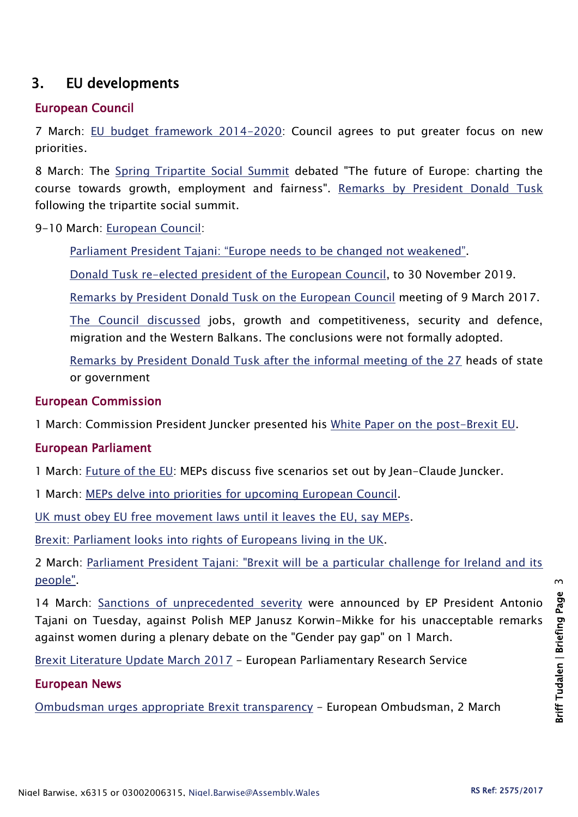# 3. EU developments

### European Council

7 March: [EU budget framework 2014-2020:](http://www.consilium.europa.eu/en/press/press-releases/2017/03/07-eu-budget-mmf-2014-2020-greater-focus-new-priorities/) Council agrees to put greater focus on new priorities.

8 March: The [Spring Tripartite Social Summit](http://www.consilium.europa.eu/en/press/press-releases/2017/03/08-tripartite-social-summit/) debated "The future of Europe: charting the course towards growth, employment and fairness". [Remarks by President Donald Tusk](http://www.consilium.europa.eu/en/press/press-releases/2017/03/08-tusk-remarks-tripartite-social-summit/) following the tripartite social summit.

9-10 March: [European Council:](http://www.consilium.europa.eu/en/meetings/european-council/2017/03/09-10-euco-annotated-draft-agenda_pdf/)

[Parliament President Tajani: "Europe needs to be changed not weakened"](http://www.europarl.europa.eu/news/en/news-room/20170306STO65255/tajani-%E2%80%9Ceurope-needs-to-be-changed-not-weakened%E2%80%9D).

[Donald Tusk re-elected president of the European Council,](http://www.consilium.europa.eu/en/press/press-releases/2017/03/09-european-council-president-election/) to 30 November 2019.

[Remarks by President Donald Tusk on the European Council](http://www.consilium.europa.eu/en/press/press-releases/2017/03/09-tusk-remarks-european-council/) meeting of 9 March 2017.

[The Council discussed](http://www.consilium.europa.eu/en/press/press-releases/2017/03/09-conclusion-pec/) jobs, growth and competitiveness, security and defence, migration and the Western Balkans. The conclusions were not formally adopted.

[Remarks by President Donald Tusk after the informal meeting of the 27](http://www.consilium.europa.eu/en/press/press-releases/2017/03/10-tusk-remarks-informal-meeting/) heads of state or government

#### European Commission

1 March: Commission President Juncker presented his [White Paper on the post-Brexit EU.](http://europa.eu/rapid/press-release_IP-17-385_en.htm)

#### European Parliament

1 March: [Future of the EU:](http://www.europarl.europa.eu/news/en/news-room/20170228IPR64287/future-of-the-eu-meps-discuss-five-scenarios-set-out-by-jean-claude-juncker) MEPs discuss five scenarios set out by Jean-Claude Juncker.

1 March: [MEPs delve into priorities for upcoming European Council.](http://www.europarl.europa.eu/news/en/news-room/20170227IPR64154/meps-delve-into-priorities-for-upcoming-european-council)

[UK must obey EU free movement laws until it leaves the EU, say MEPs.](http://www.europarl.europa.eu/news/en/news-room/20170227IPR64155/uk-must-obey-eu-free-movement-laws-until-it-leaves-the-eu-say-meps)

[Brexit: Parliament looks into rights of Europeans living in the UK.](http://www.europarl.europa.eu/news/en/news-room/20170224STO63945/brexit-parliament-looks-into-rights-of-europeans-living-in-the-uk)

2 March: Parliament President Tajani: "Brexit will be a particular challenge for Ireland and its [people".](http://www.europarl.europa.eu/news/en/news-room/20170227STO64128/tajani-brexit-will-be-a-particular-challenge-for-ireland-and-its-people)

14 March: [Sanctions of unprecedented severity](http://www.europarl.europa.eu/news/en/news-room/20170314IPR66589/sanctions-against-mep-who-offended-women) were announced by EP President Antonio Tajani on Tuesday, against Polish MEP Janusz Korwin-Mikke for his unacceptable remarks against women during a plenary debate on the "Gender pay gap" on 1 March.

[Brexit Literature Update March 2017](http://www.europarl.europa.eu/RegData/etudes/ATAG/2017/583127/IPOL_ATA(2017)583127_EN.pdf) - European Parliamentary Research Service

#### European News

[Ombudsman urges appropriate Brexit transparency](https://www.ombudsman.europa.eu/en/press/release.faces/en/76558/html.bookmark) - European Ombudsman, 2 March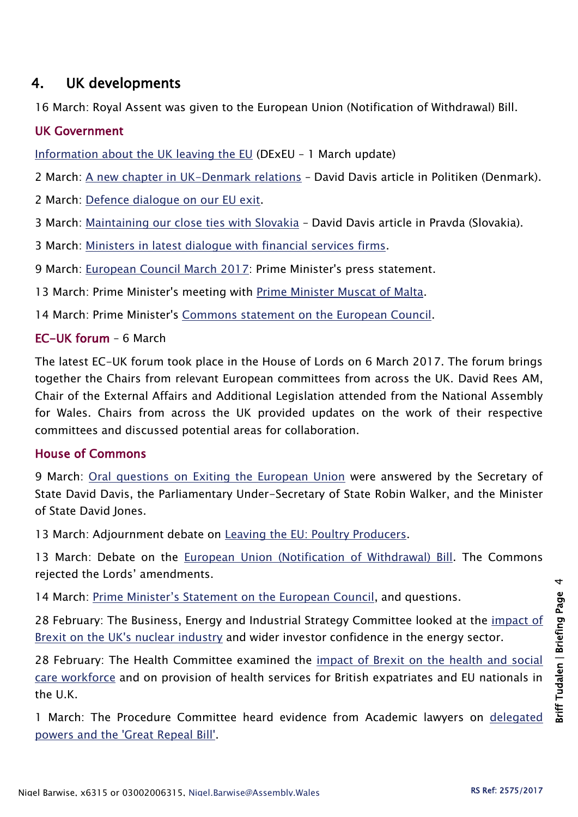# 4. UK developments

16 March: Royal Assent was given to the European Union (Notification of Withdrawal) Bill.

#### UK Government

[Information about the UK leaving the EU](https://www.gov.uk/government/news/information-about-the-uk-leaving-the-eu) (DExEU – 1 March update)

2 March: [A new chapter in UK-Denmark relations](https://www.gov.uk/government/speeches/a-new-chapter-in-uk-denmark-relations) – David Davis article in Politiken (Denmark).

2 March: [Defence dialogue on our EU exit.](https://www.gov.uk/government/news/defence-dialogue-on-our-eu-exit)

3 March: [Maintaining our close ties with Slovakia](https://www.gov.uk/government/news/maintaining-our-close-ties-with-slovakia) – David Davis article in Pravda (Slovakia).

3 March: [Ministers in latest dialogue with financial services firms.](https://www.gov.uk/government/news/ministers-in-latest-dialogue-with-financial-services-firms)

9 March: [European Council March 2017:](https://www.gov.uk/government/speeches/pm-statement-at-european-council-meeting-9-march-2017) Prime Minister's press statement.

13 March: Prime Minister's meeting with [Prime Minister Muscat of Malta.](https://www.gov.uk/government/news/pm-meeting-with-prime-minister-muscat-of-malta-13-march-2017)

14 March: Prime Minister's [Commons statement on the European Council.](https://www.gov.uk/government/speeches/pm-commons-statement-on-european-council-14-march-2017)

#### EC-UK forum – 6 March

The latest EC-UK forum took place in the House of Lords on 6 March 2017. The forum brings together the Chairs from relevant European committees from across the UK. David Rees AM, Chair of the External Affairs and Additional Legislation attended from the National Assembly for Wales. Chairs from across the UK provided updates on the work of their respective committees and discussed potential areas for collaboration.

## House of Commons

9 March: [Oral questions on Exiting the European Union](https://hansard.parliament.uk/commons/2017-03-09) were answered by the Secretary of State David Davis, the Parliamentary Under-Secretary of State Robin Walker, and the Minister of State David Jones.

13 March: Adjournment debate on [Leaving the EU: Poultry Producers.](https://hansard.parliament.uk/commons/2017-03-13/debates/1703144000002/LeavingTheEUPoultryProducers)

13 March: Debate on the [European Union \(Notification of Withdrawal\) Bill.](https://hansard.parliament.uk/commons/2017-03-13/debates/7B70DCB0-A791-4B45-B01E-04D5689E8E62/EuropeanUnion(NotificationOfWithdrawal)Bill) The Commons rejected the Lords' amendments.

14 March: [Prime Minister's Statement on the European Council](https://hansard.parliament.uk/commons/2017-03-14/debates/B5826F13-CE59-42DD-9DE4-ACDEA7E308DA/EuropeanCouncil), and questions.

28 February: The Business, Energy and Industrial Strategy Committee looked at the [impact of](http://www.parliament.uk/business/committees/committees-a-z/commons-select/business-energy-industrial-strategy/news-parliament-2015/leaving-eu-energy-climate-evidence-16-17/)  [Brexit on the UK's nuclear industry](http://www.parliament.uk/business/committees/committees-a-z/commons-select/business-energy-industrial-strategy/news-parliament-2015/leaving-eu-energy-climate-evidence-16-17/) and wider investor confidence in the energy sector.

28 February: The Health Committee examined the [impact of Brexit on the health and social](http://www.parliament.uk/business/committees/committees-a-z/commons-select/health-committee/news-parliament-20151/brexit-health-ev3-16-17/)  [care workforce](http://www.parliament.uk/business/committees/committees-a-z/commons-select/health-committee/news-parliament-20151/brexit-health-ev3-16-17/) and on provision of health services for British expatriates and EU nationals in the U.K.

1 March: The Procedure Committee heard evidence from Academic lawyers on [delegated](http://www.parliament.uk/business/committees/committees-a-z/commons-select/procedure-committee/news-parliament-2015/delegated-powers-great-repeal-bill-first-evidence-16-17/)  [powers and the 'Great Repeal Bill'.](http://www.parliament.uk/business/committees/committees-a-z/commons-select/procedure-committee/news-parliament-2015/delegated-powers-great-repeal-bill-first-evidence-16-17/)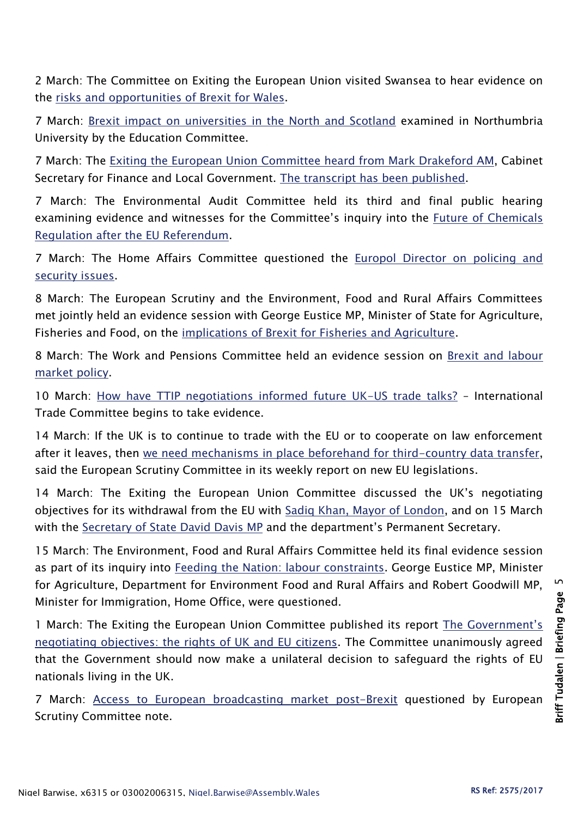2 March: The Committee on Exiting the European Union visited Swansea to hear evidence on the [risks and opportunities of Brexit for Wales.](http://www.parliament.uk/business/committees/committees-a-z/commons-select/exiting-the-european-union-committee/news-parliament-2015/negotiating-objectives-for-eu-withdrawal-swansea-evidence-16-17/)

7 March: [Brexit impact on universities in the North and Scotland](http://www.parliament.uk/business/committees/committees-a-z/commons-select/education-committee/news-parliament-2015/brexit-higher-education-evidence3-16-17/) examined in Northumbria University by the Education Committee.

7 March: The [Exiting the European Union Committee heard from Mark Drakeford AM,](http://www.parliament.uk/business/committees/committees-a-z/commons-select/exiting-the-european-union-committee/news-parliament-2015/negotiating-objectives-for-eu-withdrawal-17-evidence-16-17/) Cabinet Secretary for Finance and Local Government. [The transcript has been published.](http://data.parliament.uk/writtenevidence/committeeevidence.svc/evidencedocument/exiting-the-european-union-committee/the-uks-negotiating-objectives-for-its-withdrawal-from-the-eu/oral/48622.html)

7 March: The Environmental Audit Committee held its third and final public hearing examining evidence and witnesses for the Committee's inquiry into the [Future of Chemicals](http://www.parliament.uk/business/committees/committees-a-z/commons-select/environmental-audit-committee/news-parliament-2015/future-chemicals-brexit-ev3-16-17/)  [Regulation after the EU Referendum.](http://www.parliament.uk/business/committees/committees-a-z/commons-select/environmental-audit-committee/news-parliament-2015/future-chemicals-brexit-ev3-16-17/)

7 March: The Home Affairs Committee questioned the [Europol Director on policing and](http://www.parliament.uk/business/committees/committees-a-z/commons-select/home-affairs-committee/news-parliament-2015/170306-europol-ev/)  [security issues.](http://www.parliament.uk/business/committees/committees-a-z/commons-select/home-affairs-committee/news-parliament-2015/170306-europol-ev/)

8 March: The European Scrutiny and the Environment, Food and Rural Affairs Committees met jointly held an evidence session with George Eustice MP, Minister of State for Agriculture, Fisheries and Food, on the [implications of Brexit for Fisheries and Agriculture.](http://www.parliament.uk/business/committees/committees-a-z/commons-select/european-scrutiny-committee/news-parliament-20151/brexit-agriculture-fisheries-evidence-16-17/)

8 March: The Work and Pensions Committee held an evidence session on [Brexit and labour](http://www.parliament.uk/business/committees/committees-a-z/commons-select/work-and-pensions-committee/inquiries/parliament-2015/inquiry2/)  [market policy.](http://www.parliament.uk/business/committees/committees-a-z/commons-select/work-and-pensions-committee/inquiries/parliament-2015/inquiry2/)

10 March: [How have TTIP negotiations informed future UK-US trade talks?](http://www.parliament.uk/business/committees/committees-a-z/commons-select/international-trade-committee/news-parliament-2015/uk-us-trade-first-evidence-16-17/) – International Trade Committee begins to take evidence.

14 March: If the UK is to continue to trade with the EU or to cooperate on law enforcement after it leaves, then [we need mechanisms in place beforehand for third-country data transfer,](http://www.parliament.uk/business/committees/committees-a-z/commons-select/european-scrutiny-committee/news-parliament-20151/data-exchange-report-published-16-17/) said the European Scrutiny Committee in its weekly report on new EU legislations.

14 March: The Exiting the European Union Committee discussed the UK's negotiating objectives for its withdrawal from the EU with [Sadiq Khan, Mayor of London,](http://www.parliament.uk/business/committees/committees-a-z/commons-select/exiting-the-european-union-committee/news-parliament-2015/negotiating-objectives-for-eu-withdrawal-sadiq-khan-evidence-16-17/) and on 15 March with the [Secretary of State David Davis MP](http://www.parliament.uk/business/committees/committees-a-z/commons-select/exiting-the-european-union-committee/news-parliament-2015/negotiating-objectives-for-eu-withdrawal-19-evidence-16-17/) and the department's Permanent Secretary.

15 March: The Environment, Food and Rural Affairs Committee held its final evidence session as part of its inquiry into [Feeding the Nation: labour constraints.](http://www.parliament.uk/business/committees/committees-a-z/commons-select/environment-food-and-rural-affairs-committee/news-parliament-2015/feeding-the-nation-ev-3-16-17/) George Eustice MP, Minister for Agriculture, Department for Environment Food and Rural Affairs and Robert Goodwill MP, Minister for Immigration, Home Office, were questioned.

1 March: The Exiting the European Union Committee published its report [The Government's](https://www.publications.parliament.uk/pa/cm201617/cmselect/cmexeu/1071/1071.pdf)  [negotiating objectives: the rights of UK and EU citizens.](https://www.publications.parliament.uk/pa/cm201617/cmselect/cmexeu/1071/1071.pdf) The Committee unanimously agreed that the Government should now make a unilateral decision to safeguard the rights of EU nationals living in the UK.

7 March: [Access to European broadcasting market post-Brexit](https://www.publications.parliament.uk/pa/cm201617/cmselect/cmeuleg/71-xxxi/7108.htm#_idTextAnchor014) questioned by European Scrutiny Committee note.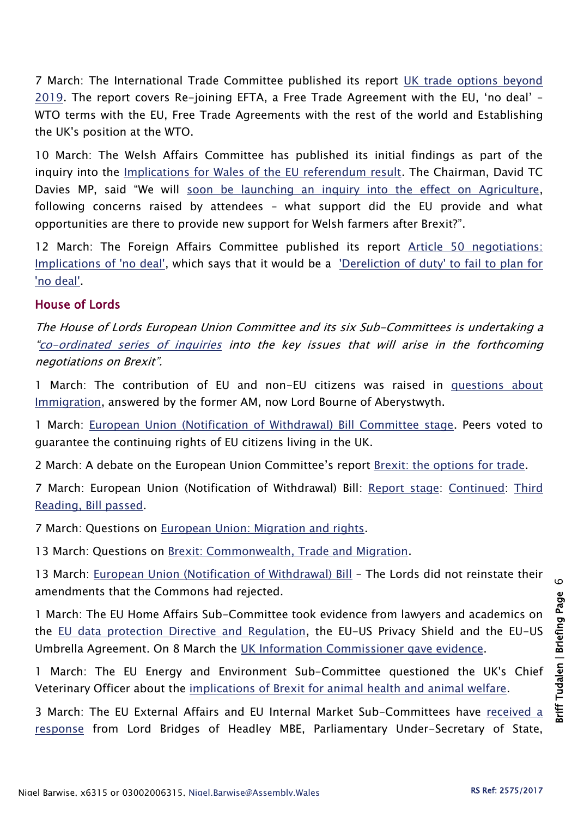7 March: The International Trade Committee published its report [UK trade options beyond](https://www.publications.parliament.uk/pa/cm201617/cmselect/cmintrade/817/81702.htm)  [2019.](https://www.publications.parliament.uk/pa/cm201617/cmselect/cmintrade/817/81702.htm) The report covers Re-joining EFTA, a Free Trade Agreement with the EU, 'no deal' – WTO terms with the EU, Free Trade Agreements with the rest of the world and Establishing the UK's position at the WTO.

10 March: The Welsh Affairs Committee has published its initial findings as part of the inquiry into the [Implications for Wales of the EU referendum result.](http://www.parliament.uk/business/committees/committees-a-z/commons-select/welsh-affairs-committee/inquiries/parliament-2015/brexit-wales-16-17/) The Chairman, David TC Davies MP, said "We will [soon be launching an inquiry into the effect on Agriculture,](http://www.parliament.uk/business/committees/committees-a-z/commons-select/welsh-affairs-committee/news-parliament-2015/brexit-priorities-wales-16-17/) following concerns raised by attendees – what support did the EU provide and what opportunities are there to provide new support for Welsh farmers after Brexit?".

12 March: The Foreign Affairs Committee published its report [Article 50 negotiations:](https://www.publications.parliament.uk/pa/cm201617/cmselect/cmfaff/1077/107702.htm)  [Implications of 'no deal',](https://www.publications.parliament.uk/pa/cm201617/cmselect/cmfaff/1077/107702.htm) which says that it would be a ['Dereliction of duty' to fail to plan for](http://www.parliament.uk/business/committees/committees-a-z/commons-select/foreign-affairs-committee/news-parliament-2015/article-50-report-publication-16-17/)  ['no deal'.](http://www.parliament.uk/business/committees/committees-a-z/commons-select/foreign-affairs-committee/news-parliament-2015/article-50-report-publication-16-17/)

#### House of Lords

The House of Lords European Union Committee and its six Sub-Committees is undertaking a "[co-ordinated series of inquiries](http://www.parliament.uk/business/committees/committees-a-z/lords-select/eu-select-committee-/news-parliament-2015/co-ordinated-inquries-launch/) into the key issues that will arise in the forthcoming negotiations on Brexit".

1 March: The contribution of EU and non-EU citizens was raised in questions about [Immigration,](https://hansard.parliament.uk/Lords/2017-03-01/debates/18466AAA-E011-4D3E-B6BB-2130297655DA/Immigration) answered by the former AM, now Lord Bourne of Aberystwyth.

1 March: [European Union \(Notification of Withdrawal\) Bill Committee stage.](https://hansard.parliament.uk/Lords/2017-03-01/debates/EE9DF3A9-2E05-4568-8CF8-A61F11172391/EuropeanUnion(NotificationOfWithdrawal)Bill) Peers voted to guarantee the continuing rights of EU citizens living in the UK.

2 March: A debate on the European Union Committee's report [Brexit: the options for trade.](https://hansard.parliament.uk/Lords/2017-03-02/debates/E90E4BAA-D11A-478C-8AA8-3EDDA827DA9B/BrexitOptionsForTrade(EUCReport))

7 March: European Union (Notification of Withdrawal) Bill: [Report stage:](https://hansard.parliament.uk/Lords/2017-03-07/debates/C3DB2BE4-B6EC-4DA3-8722-1633A13892B3/EuropeanUnion(NotificationOfWithdrawal)Bill) [Continued:](https://hansard.parliament.uk/Lords/2017-03-07/debates/0C978865-1678-4A7F-98A5-6AE55B3FB652/EuropeanUnion(NotificationOfWithdrawal)Bill) [Third](https://hansard.parliament.uk/Lords/2017-03-07/debates/67D1469C-A117-45E4-BD7B-07E61E94C30C/EuropeanUnion(NotificationOfWithdrawal)Bill)  [Reading, Bill passed.](https://hansard.parliament.uk/Lords/2017-03-07/debates/67D1469C-A117-45E4-BD7B-07E61E94C30C/EuropeanUnion(NotificationOfWithdrawal)Bill)

7 March: Questions on [European Union: Migration and rights.](https://hansard.parliament.uk/Lords/2017-03-07/debates/951AF655-41BA-4010-9049-D229B1BC477D/EuropeanUnionMigration)

13 March: Questions on [Brexit: Commonwealth, Trade and Migration.](https://hansard.parliament.uk/Lords/2017-03-13/debates/E507F082-F8EB-427C-8CD2-A47699A28E48/BrexitCommonwealthTradeAndMigration)

13 March: [European Union \(Notification of Withdrawal\) Bill](https://hansard.parliament.uk/Lords/2017-03-13/debates/B6D4D5E2-9407-40E3-A409-49E7006937C3/EuropeanUnion(NotificationOfWithdrawal)Bill) - The Lords did not reinstate their amendments that the Commons had rejected.

1 March: The EU Home Affairs Sub-Committee took evidence from lawyers and academics on the [EU data protection Directive and Regulation,](http://www.parliament.uk/business/committees/committees-a-z/lords-select/eu-home-affairs-subcommittee/news-parliament-2015/lawyers-academics-data-protection/) the EU-US Privacy Shield and the EU-US Umbrella Agreement. On 8 March the [UK Information Commissioner gave evidence.](http://www.parliament.uk/business/committees/committees-a-z/lords-select/eu-home-affairs-subcommittee/news-parliament-2015/information-commissioner-gives-evidence/)

1 March: The EU Energy and Environment Sub-Committee questioned the UK's Chief Veterinary Officer about the [implications of Brexit for animal health and animal welfare.](http://www.parliament.uk/business/committees/committees-a-z/lords-select/eu-energy-environment-subcommittee/news-parliament-2015/brexit-agri-cvo/)

3 March: The EU External Affairs and EU Internal Market Sub-Committees have received a [response](http://www.parliament.uk/documents/lords-committees/eu-external-affairs-subcommittee/Future-trade-EU-UK-Government-Response-and-Annex%20A.pdf) from Lord Bridges of Headley MBE, Parliamentary Under-Secretary of State,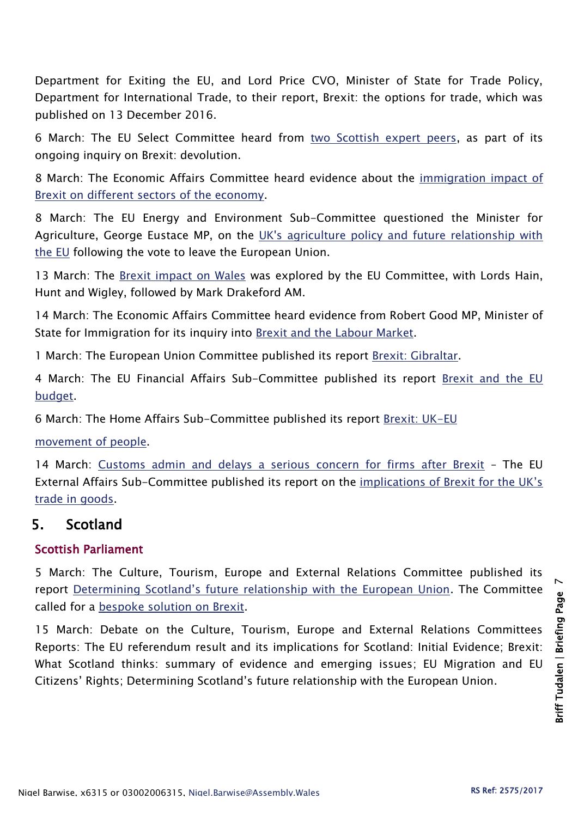Department for Exiting the EU, and Lord Price CVO, Minister of State for Trade Policy, Department for International Trade, to their report, Brexit: the options for trade, which was published on 13 December 2016.

6 March: The EU Select Committee heard from [two Scottish expert peers,](http://www.parliament.uk/business/committees/committees-a-z/lords-select/eu-select-committee-/news-parliament-2015/brexit-devolution-scottish-peers-evidence/) as part of its ongoing inquiry on Brexit: devolution.

8 March: The Economic Affairs Committee heard evidence about the [immigration impact of](http://www.parliament.uk/business/committees/committees-a-z/lords-select/economic-affairs-committee/news-parliament-2015/sectors-hit-hardest-evidence-session/)  [Brexit on different sectors of the economy.](http://www.parliament.uk/business/committees/committees-a-z/lords-select/economic-affairs-committee/news-parliament-2015/sectors-hit-hardest-evidence-session/)

8 March: The EU Energy and Environment Sub-Committee questioned the Minister for Agriculture, George Eustace MP, on the [UK's agriculture policy and future relationship with](http://www.parliament.uk/business/committees/committees-a-z/lords-select/eu-energy-environment-subcommittee/news-parliament-2015/brexit-agri-minister/)  [the EU](http://www.parliament.uk/business/committees/committees-a-z/lords-select/eu-energy-environment-subcommittee/news-parliament-2015/brexit-agri-minister/) following the vote to leave the European Union.

13 March: The [Brexit impact on Wales](http://www.parliament.uk/business/committees/committees-a-z/lords-select/eu-select-committee-/news-parliament-2015/brexit-devolution-wales-evidence/) was explored by the EU Committee, with Lords Hain, Hunt and Wigley, followed by Mark Drakeford AM.

14 March: The Economic Affairs Committee heard evidence from Robert Good MP, Minister of State for Immigration for its inquiry into [Brexit and the Labour Market.](http://www.parliament.uk/business/committees/committees-a-z/lords-select/economic-affairs-committee/news-parliament-2015/ministers-questioned-brexit-labour/)

1 March: The European Union Committee published its report [Brexit: Gibraltar.](https://www.publications.parliament.uk/pa/ld201617/ldselect/ldeucom/116/116.pdf)

4 March: The EU Financial Affairs Sub-Committee published its report [Brexit and the EU](https://www.publications.parliament.uk/pa/ld201617/ldselect/ldeucom/125/125.pdf)  [budget.](https://www.publications.parliament.uk/pa/ld201617/ldselect/ldeucom/125/125.pdf)

6 March: The Home Affairs Sub-Committee published its report [Brexit: UK-EU](https://www.publications.parliament.uk/pa/ld201617/ldselect/ldeucom/121/121.pdf)

[movement of people.](https://www.publications.parliament.uk/pa/ld201617/ldselect/ldeucom/121/121.pdf)

14 March: [Customs admin and delays a serious concern for firms after Brexit](http://www.parliament.uk/business/committees/committees-a-z/lords-select/eu-external-affairs-subcommittee/news-parliament-2015/brexit-trade-in-goods/) – The EU External Affairs Sub-Committee published its report on the [implications of Brexit for the UK's](https://www.publications.parliament.uk/pa/ld201617/ldselect/ldeucom/129/129.pdf)  [trade in goods.](https://www.publications.parliament.uk/pa/ld201617/ldselect/ldeucom/129/129.pdf)

# 5. Scotland

## Scottish Parliament

5 March: The Culture, Tourism, Europe and External Relations Committee published its report [Determining Scotland's future relationship with the European Union](http://www.parliament.scot/S5_European/Reports/CTEERCS052017R04.pdf). The Committee called for a [bespoke solution on Brexit.](http://www.parliament.scot/newsandmediacentre/103792.aspx)

15 March: Debate on the Culture, Tourism, Europe and External Relations Committees Reports: The EU referendum result and its implications for Scotland: Initial Evidence; Brexit: What Scotland thinks: summary of evidence and emerging issues; EU Migration and EU Citizens' Rights; Determining Scotland's future relationship with the European Union.